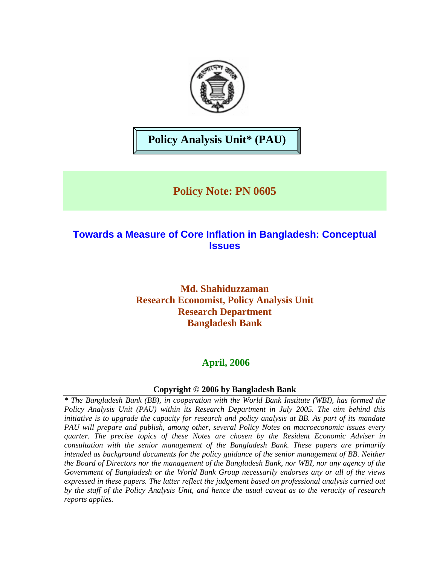

# **Policy Analysis Unit\* (PAU)**

# **Policy Note: PN 0605**

## **Towards a Measure of Core Inflation in Bangladesh: Conceptual Issues**

### **Md. Shahiduzzaman Research Economist, Policy Analysis Unit Research Department Bangladesh Bank**

### **April, 2006**

### **Copyright © 2006 by Bangladesh Bank**

*\* The Bangladesh Bank (BB), in cooperation with the World Bank Institute (WBI), has formed the Policy Analysis Unit (PAU) within its Research Department in July 2005. The aim behind this initiative is to upgrade the capacity for research and policy analysis at BB. As part of its mandate PAU will prepare and publish, among other, several Policy Notes on macroeconomic issues every quarter. The precise topics of these Notes are chosen by the Resident Economic Adviser in consultation with the senior management of the Bangladesh Bank. These papers are primarily intended as background documents for the policy guidance of the senior management of BB. Neither the Board of Directors nor the management of the Bangladesh Bank, nor WBI, nor any agency of the Government of Bangladesh or the World Bank Group necessarily endorses any or all of the views expressed in these papers. The latter reflect the judgement based on professional analysis carried out by the staff of the Policy Analysis Unit, and hence the usual caveat as to the veracity of research reports applies.*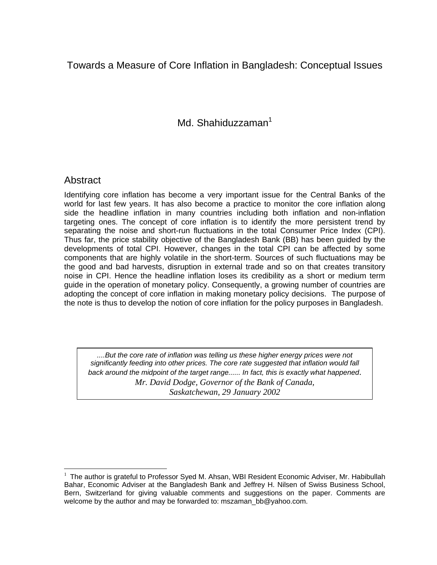## Towards a Measure of Core Inflation in Bangladesh: Conceptual Issues

Md. Shahiduzzaman<sup>[1](#page-2-0)</sup>

### Abstract

 $\overline{a}$ 

Identifying core inflation has become a very important issue for the Central Banks of the world for last few years. It has also become a practice to monitor the core inflation along side the headline inflation in many countries including both inflation and non-inflation targeting ones. The concept of core inflation is to identify the more persistent trend by separating the noise and short-run fluctuations in the total Consumer Price Index (CPI). Thus far, the price stability objective of the Bangladesh Bank (BB) has been guided by the developments of total CPI. However, changes in the total CPI can be affected by some components that are highly volatile in the short-term. Sources of such fluctuations may be the good and bad harvests, disruption in external trade and so on that creates transitory noise in CPI. Hence the headline inflation loses its credibility as a short or medium term guide in the operation of monetary policy. Consequently, a growing number of countries are adopting the concept of core inflation in making monetary policy decisions. The purpose of the note is thus to develop the notion of core inflation for the policy purposes in Bangladesh.

....But the core rate of inflation was telling us these higher energy prices were not *significantly feeding into other prices. The core rate suggested that inflation would fall back around the midpoint of the target range...... In fact, this is exactly what happened*. *Mr. David Dodge, Governor of the Bank of Canada, Saskatchewan, 29 January 2002*

<span id="page-2-0"></span><sup>&</sup>lt;sup>1</sup> The author is grateful to Professor Syed M. Ahsan, WBI Resident Economic Adviser, Mr. Habibullah Bahar, Economic Adviser at the Bangladesh Bank and Jeffrey H. Nilsen of Swiss Business School, Bern, Switzerland for giving valuable comments and suggestions on the paper. Comments are welcome by the author and may be forwarded to: mszaman\_bb@yahoo.com.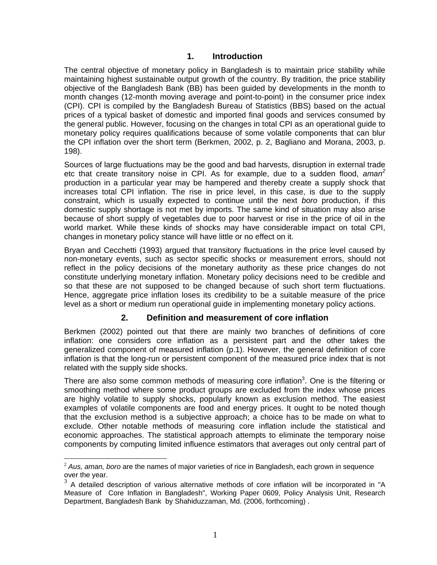#### **1. Introduction**

The central objective of monetary policy in Bangladesh is to maintain price stability while maintaining highest sustainable output growth of the country. By tradition, the price stability objective of the Bangladesh Bank (BB) has been guided by developments in the month to month changes (12-month moving average and point-to-point) in the consumer price index (CPI). CPI is compiled by the Bangladesh Bureau of Statistics (BBS) based on the actual prices of a typical basket of domestic and imported final goods and services consumed by the general public. However, focusing on the changes in total CPI as an operational guide to monetary policy requires qualifications because of some volatile components that can blur the CPI inflation over the short term (Berkmen, 2002, p. 2, Bagliano and Morana, 2003, p. 198).

Sources of large fluctuations may be the good and bad harvests, disruption in external trade etc that create transitory noise in CPI. As for example, due to a sudden flood, *aman<sup>2</sup>* production in a particular year may be hampered and thereby create a supply shock th[at](#page-4-0)  increases total CPI inflation. The rise in price level, in this case, is due to the supply constraint, which is usually expected to continue until the next *boro* production, if this domestic supply shortage is not met by imports. The same kind of situation may also arise because of short supply of vegetables due to poor harvest or rise in the price of oil in the world market. While these kinds of shocks may have considerable impact on total CPI, changes in monetary policy stance will have little or no effect on it.

Bryan and Cecchetti (1993) argued that transitory fluctuations in the price level caused by non-monetary events, such as sector specific shocks or measurement errors, should not reflect in the policy decisions of the monetary authority as these price changes do not constitute underlying monetary inflation. Monetary policy decisions need to be credible and so that these are not supposed to be changed because of such short term fluctuations. Hence, aggregate price inflation loses its credibility to be a suitable measure of the price level as a short or medium run operational guide in implementing monetary policy actions.

### **2. Definition and measurement of core inflation**

Berkmen (2002) pointed out that there are mainly two branches of definitions of core inflation: one considers core inflation as a persistent part and the other takes the generalized component of measured inflation (p.1). However, the general definition of core inflation is that the long-run or persistent component of the measured price index that is not related with the supply side shocks.

There are also some common methods of measuring core inflation<sup>3</sup>. One is the filtering or smoothing method where some product groups are excluded from the index whose prices are highly volatile to supply shocks, popularly known as exclusion method. The easiest examples of volatile components are food and energy prices. It ought to be noted though that the exclusion method is a subjective approach; a choice has to be made on what to exclude. Other notable methods of measuring core inflation include the statistical and economic approaches. The statistical approach attempts to eliminate the temporary noise components by computing limited influence estimators that averages out only central part of

<span id="page-4-0"></span> $\overline{a}$ <sup>2</sup> *Aus, aman, boro* are the names of major varieties of rice in Bangladesh, each grown in sequence

<span id="page-4-1"></span>over the year.<br> $3$  A detailed description of various alternative methods of core inflation will be incorporated in "A Measure of Core Inflation in Bangladesh", Working Paper 0609, Policy Analysis Unit, Research Department, Bangladesh Bank by Shahiduzzaman, Md. (2006, forthcoming) .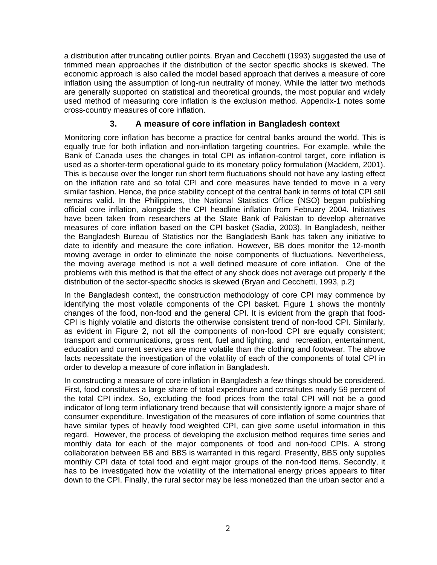a distribution after truncating outlier points. Bryan and Cecchetti (1993) suggested the use of trimmed mean approaches if the distribution of the sector specific shocks is skewed. The economic approach is also called the model based approach that derives a measure of core inflation using the assumption of long-run neutrality of money. While the latter two methods are generally supported on statistical and theoretical grounds, the most popular and widely used method of measuring core inflation is the exclusion method. Appendix-1 notes some cross-country measures of core inflation.

### **3. A measure of core inflation in Bangladesh context**

Monitoring core inflation has become a practice for central banks around the world. This is equally true for both inflation and non-inflation targeting countries. For example, while the Bank of Canada uses the changes in total CPI as inflation-control target, core inflation is used as a shorter-term operational guide to its monetary policy formulation (Macklem, 2001). This is because over the longer run short term fluctuations should not have any lasting effect on the inflation rate and so total CPI and core measures have tended to move in a very similar fashion. Hence, the price stability concept of the central bank in terms of total CPI still remains valid. In the Philippines, the National Statistics Office (NSO) began publishing official core inflation, alongside the CPI headline inflation from February 2004. Initiatives have been taken from researchers at the State Bank of Pakistan to develop alternative measures of core inflation based on the CPI basket (Sadia, 2003). In Bangladesh, neither the Bangladesh Bureau of Statistics nor the Bangladesh Bank has taken any initiative to date to identify and measure the core inflation. However, BB does monitor the 12-month moving average in order to eliminate the noise components of fluctuations. Nevertheless, the moving average method is not a well defined measure of core inflation. One of the problems with this method is that the effect of any shock does not average out properly if the distribution of the sector-specific shocks is skewed (Bryan and Cecchetti, 1993, p.2)

In the Bangladesh context, the construction methodology of core CPI may commence by identifying the most volatile components of the CPI basket. Figure 1 shows the monthly changes of the food, non-food and the general CPI. It is evident from the graph that food-CPI is highly volatile and distorts the otherwise consistent trend of non-food CPI. Similarly, as evident in Figure 2, not all the components of non-food CPI are equally consistent; transport and communications, gross rent, fuel and lighting, and recreation, entertainment, education and current services are more volatile than the clothing and footwear. The above facts necessitate the investigation of the volatility of each of the components of total CPI in order to develop a measure of core inflation in Bangladesh.

In constructing a measure of core inflation in Bangladesh a few things should be considered. First, food constitutes a large share of total expenditure and constitutes nearly 59 percent of the total CPI index. So, excluding the food prices from the total CPI will not be a good indicator of long term inflationary trend because that will consistently ignore a major share of consumer expenditure. Investigation of the measures of core inflation of some countries that have similar types of heavily food weighted CPI, can give some useful information in this regard. However, the process of developing the exclusion method requires time series and monthly data for each of the major components of food and non-food CPIs. A strong collaboration between BB and BBS is warranted in this regard. Presently, BBS only supplies monthly CPI data of total food and eight major groups of the non-food items. Secondly, it has to be investigated how the volatility of the international energy prices appears to filter down to the CPI. Finally, the rural sector may be less monetized than the urban sector and a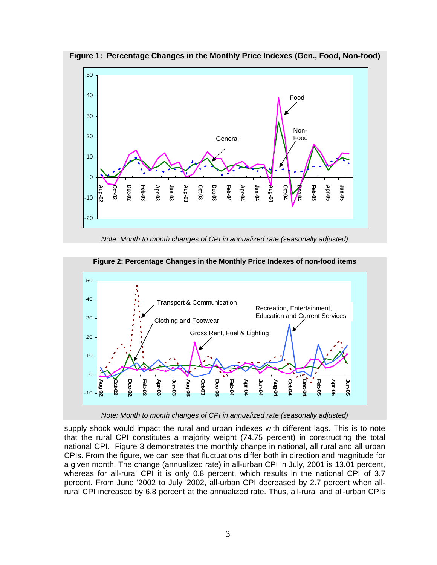



*Note: Month to month changes of CPI in annualized rate (seasonally adjusted)* 



#### **Figure 2: Percentage Changes in the Monthly Price Indexes of non-food items**

*Note: Month to month changes of CPI in annualized rate (seasonally adjusted)* 

supply shock would impact the rural and urban indexes with different lags. This is to note that the rural CPI constitutes a majority weight (74.75 percent) in constructing the total national CPI. Figure 3 demonstrates the monthly change in national, all rural and all urban CPIs. From the figure, we can see that fluctuations differ both in direction and magnitude for a given month. The change (annualized rate) in all-urban CPI in July, 2001 is 13.01 percent, whereas for all-rural CPI it is only 0.8 percent, which results in the national CPI of 3.7 percent. From June '2002 to July '2002, all-urban CPI decreased by 2.7 percent when allrural CPI increased by 6.8 percent at the annualized rate. Thus, all-rural and all-urban CPIs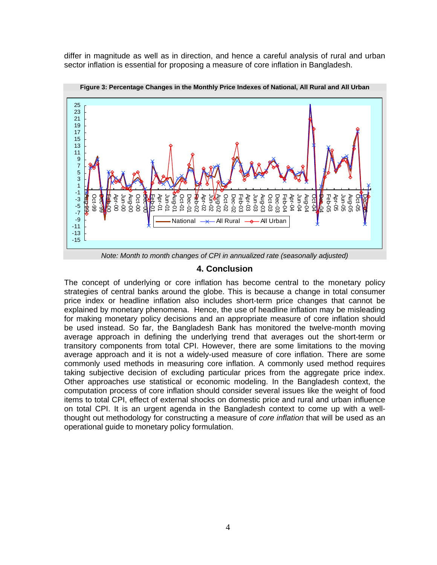differ in magnitude as well as in direction, and hence a careful analysis of rural and urban sector inflation is essential for proposing a measure of core inflation in Bangladesh.



**Figure 3: Percentage Changes in the Monthly Price Indexes of National, All Rural and All Urban** 

#### **4. Conclusion**

The concept of underlying or core inflation has become central to the monetary policy strategies of central banks around the globe. This is because a change in total consumer price index or headline inflation also includes short-term price changes that cannot be explained by monetary phenomena. Hence, the use of headline inflation may be misleading for making monetary policy decisions and an appropriate measure of core inflation should be used instead. So far, the Bangladesh Bank has monitored the twelve-month moving average approach in defining the underlying trend that averages out the short-term or transitory components from total CPI. However, there are some limitations to the moving average approach and it is not a widely-used measure of core inflation. There are some commonly used methods in measuring core inflation. A commonly used method requires taking subjective decision of excluding particular prices from the aggregate price index. Other approaches use statistical or economic modeling. In the Bangladesh context, the computation process of core inflation should consider several issues like the weight of food items to total CPI, effect of external shocks on domestic price and rural and urban influence on total CPI. It is an urgent agenda in the Bangladesh context to come up with a wellthought out methodology for constructing a measure of *core inflation* that will be used as an operational guide to monetary policy formulation.

*Note: Month to month changes of CPI in annualized rate (seasonally adjusted)*